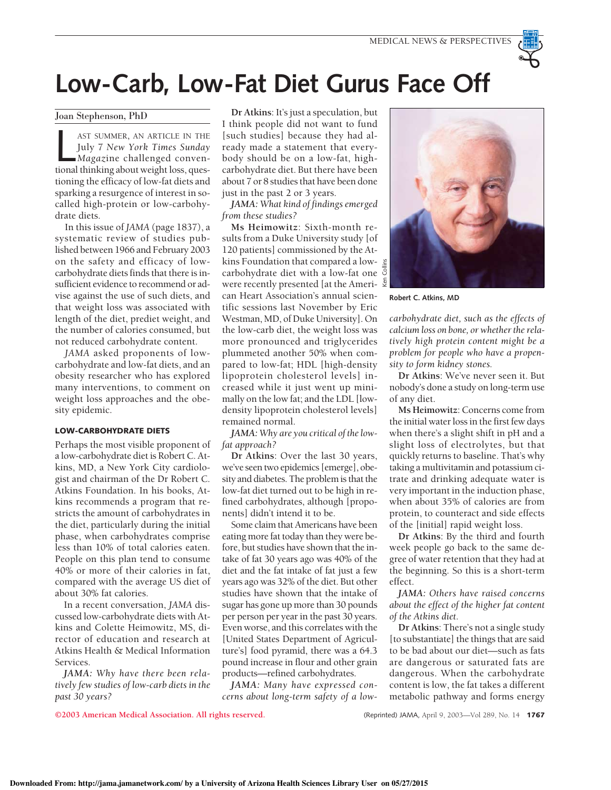

Joan Stephenson, PhD

AST SUMMER, AN ARTICLE IN THE<br>July 7 New York Times Sunday<br>Magazine challenged conven-<br>tional thinking about weight loss, ques-AST SUMMER, AN ARTICLE IN THE July 7 *New York Times Sunday Magaz*ine challenged conventioning the efficacy of low-fat diets and sparking a resurgence of interest in socalled high-protein or low-carbohydrate diets.

In this issue of *JAMA* (page 1837), a systematic review of studies published between 1966 and February 2003 on the safety and efficacy of lowcarbohydrate diets finds that there is insufficient evidence to recommend or advise against the use of such diets, and that weight loss was associated with length of the diet, prediet weight, and the number of calories consumed, but not reduced carbohydrate content.

*JAMA* asked proponents of lowcarbohydrate and low-fat diets, and an obesity researcher who has explored many interventions, to comment on weight loss approaches and the obesity epidemic.

## LOW-CARBOHYDRATE DIETS

Perhaps the most visible proponent of a low-carbohydrate diet is Robert C. Atkins, MD, a New York City cardiologist and chairman of the Dr Robert C. Atkins Foundation. In his books, Atkins recommends a program that restricts the amount of carbohydrates in the diet, particularly during the initial phase, when carbohydrates comprise less than 10% of total calories eaten. People on this plan tend to consume 40% or more of their calories in fat, compared with the average US diet of about 30% fat calories.

In a recent conversation, *JAMA* discussed low-carbohydrate diets with Atkins and Colette Heimowitz, MS, director of education and research at Atkins Health & Medical Information Services.

*JAMA: Why have there been relatively few studies of low-carb diets in the past 30 years?*

**Dr Atkins**: It's just a speculation, but I think people did not want to fund [such studies] because they had already made a statement that everybody should be on a low-fat, highcarbohydrate diet. But there have been about 7 or 8 studies that have been done just in the past 2 or 3 years.

*JAMA: What kind of findings emerged from these studies?*

**Ms Heimowitz**: Sixth-month results from a Duke University study [of 120 patients] commissioned by the Atkins Foundation that compared a lowcarbohydrate diet with a low-fat one  $\bar{c}$ were recently presented [at the Ameri- $\frac{5}{2}$ can Heart Association's annual scientific sessions last November by Eric Westman, MD, of Duke University]. On the low-carb diet, the weight loss was more pronounced and triglycerides plummeted another 50% when compared to low-fat; HDL [high-density lipoprotein cholesterol levels] increased while it just went up minimally on the low fat; and the LDL [lowdensity lipoprotein cholesterol levels] remained normal.

*JAMA: Why are you critical of the lowfat approach?*

**Dr Atkins**: Over the last 30 years, we've seen two epidemics [emerge], obesity and diabetes. The problem is that the low-fat diet turned out to be high in refined carbohydrates, although [proponents] didn't intend it to be.

Some claim that Americans have been eating more fat today than they were before, but studies have shown that the intake of fat 30 years ago was 40% of the diet and the fat intake of fat just a few years ago was 32% of the diet. But other studies have shown that the intake of sugar has gone up more than 30 pounds per person per year in the past 30 years. Even worse, and this correlates with the [United States Department of Agriculture's] food pyramid, there was a 64.3 pound increase in flour and other grain products—refined carbohydrates.

*JAMA: Many have expressed concerns about long-term safety of a low-*



**Robert C. Atkins, MD**

*carbohydrate diet, such as the effects of calcium loss on bone, or whether the relatively high protein content might be a problem for people who have a propensity to form kidney stones.*

**Dr Atkins**: We've never seen it. But nobody's done a study on long-term use of any diet.

**Ms Heimowitz**: Concerns come from the initial water loss in the first few days when there's a slight shift in pH and a slight loss of electrolytes, but that quickly returns to baseline. That's why taking a multivitamin and potassium citrate and drinking adequate water is very important in the induction phase, when about 35% of calories are from protein, to counteract and side effects of the [initial] rapid weight loss.

**Dr Atkins**: By the third and fourth week people go back to the same degree of water retention that they had at the beginning. So this is a short-term effect.

*JAMA: Others have raised concerns about the effect of the higher fat content of the Atkins diet.*

**Dr Atkins**: There's not a single study [to substantiate] the things that are said to be bad about our diet—such as fats are dangerous or saturated fats are dangerous. When the carbohydrate content is low, the fat takes a different metabolic pathway and forms energy

**©2003 American Medical Association. All rights reserved.** (Reprinted) JAMA, April 9, 2003—Vol 289, No. 14 1767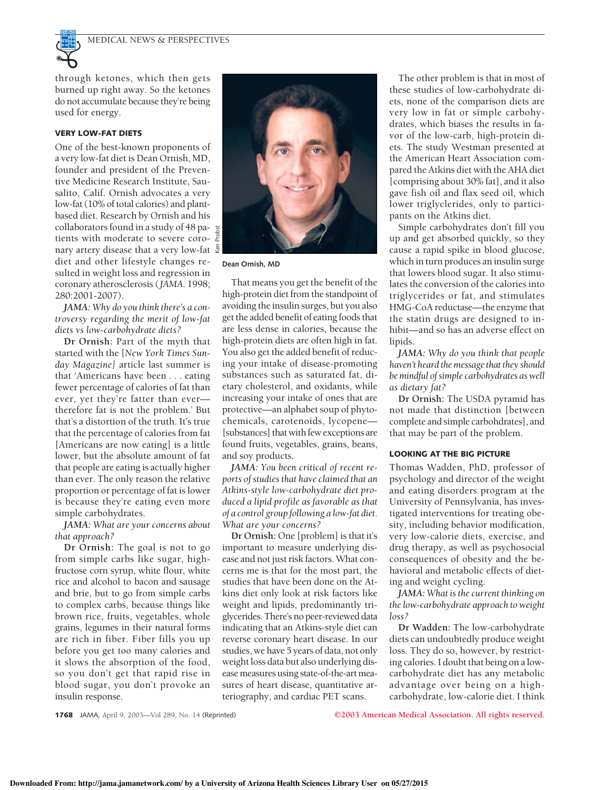

through ketones, which then gets burned up right away. So the ketones do not accumulate because they're being used for energy.

## VERY LOW-FAT DIETS

One of the best-known proponents of a very low-fat diet is Dean Ornish, MD, founder and president of the Preventive Medicine Research Institute, Sausalito, Calif. Ornish advocates a very low-fat (10% of total calories) and plantbased diet. Research by Ornish and his collaborators found in a study of 48 pa- $\frac{15}{6}$ tients with moderate to severe coronary artery disease that a very low-fat  $\frac{5}{2}$ diet and other lifestyle changes resulted in weight loss and regression in coronary atherosclerosis (*JAMA*. 1998; 280:2001-2007).

*JAMA: Why do you think there's a controversy regarding the merit of low-fat diets vs low-carbohydrate diets?*

**Dr Ornish:** Part of the myth that started with the [*New York Times Sunday Magazine]* article last summer is that 'Americans have been . . . eating fewer percentage of calories of fat than ever, yet they're fatter than ever therefore fat is not the problem.' But that's a distortion of the truth. It's true that the percentage of calories from fat [Americans are now eating] is a little lower, but the absolute amount of fat that people are eating is actually higher than ever. The only reason the relative proportion or percentage of fat is lower is because they're eating even more simple carbohydrates.

*JAMA: What are your concerns about that approach?*

**Dr Ornish:** The goal is not to go from simple carbs like sugar, highfructose corn syrup, white flour, white rice and alcohol to bacon and sausage and brie, but to go from simple carbs to complex carbs, because things like brown rice, fruits, vegetables, whole grains, legumes in their natural forms are rich in fiber. Fiber fills you up before you get too many calories and it slows the absorption of the food, so you don't get that rapid rise in blood sugar, you don't provoke an insulin response.



**Dean Ornish, MD**

That means you get the benefit of the high-protein diet from the standpoint of avoiding the insulin surges, but you also get the added benefit of eating foods that are less dense in calories, because the high-protein diets are often high in fat. You also get the added benefit of reducing your intake of disease-promoting substances such as saturated fat, dietary cholesterol, and oxidants, while increasing your intake of ones that are protective—an alphabet soup of phytochemicals, carotenoids, lycopene— [substances] that with few exceptions are found fruits, vegetables, grains, beans, and soy products.

*JAMA: You been critical of recent reports of studies that have claimed that an Atkins-style low-carbohydrate diet produced a lipid profile as favorable as that of a control group following a low-fat diet. What are your concerns?*

**Dr Ornish:** One [problem] is that it's important to measure underlying disease and not just risk factors. What concerns me is that for the most part, the studies that have been done on the Atkins diet only look at risk factors like weight and lipids, predominantly triglycerides. There's no peer-reviewed data indicating that an Atkins-style diet can reverse coronary heart disease. In our studies, we have 5 years of data, not only weight loss data but also underlying disease measures using state-of-the-art measures of heart disease, quantitative arteriography, and cardiac PET scans.

The other problem is that in most of these studies of low-carbohydrate diets, none of the comparison diets are very low in fat or simple carbohydrates, which biases the results in favor of the low-carb, high-protein diets. The study Westman presented at the American Heart Association compared the Atkins diet with the AHA diet [comprising about 30% fat], and it also gave fish oil and flax seed oil, which lower triglyclerides, only to participants on the Atkins diet.

Simple carbohydrates don't fill you up and get absorbed quickly, so they cause a rapid spike in blood glucose, which in turn produces an insulin surge that lowers blood sugar. It also stimulates the conversion of the calories into triglycerides or fat, and stimulates HMG-CoA reductase—the enzyme that the statin drugs are designed to inhibit—and so has an adverse effect on lipids.

*JAMA: Why do you think that people* haven't heard the message that they should *be mindful of simple carbohydrates as well as dietary fat?*

**Dr Ornish:** The USDA pyramid has not made that distinction [between complete and simple carbohdrates], and that may be part of the problem.

## LOOKING AT THE BIG PICTURE

Thomas Wadden, PhD, professor of psychology and director of the weight and eating disorders program at the University of Pennsylvania, has investigated interventions for treating obesity, including behavior modification, very low-calorie diets, exercise, and drug therapy, as well as psychosocial consequences of obesity and the behavioral and metabolic effects of dieting and weight cycling.

*JAMA: What is the current thinking on the low-carbohydrate approach to weight loss?*

**Dr Wadden:** The low-carbohydrate diets can undoubtedly produce weight loss. They do so, however, by restricting calories. I doubt that being on a lowcarbohydrate diet has any metabolic advantage over being on a highcarbohydrate, low-calorie diet. I think

1768 JAMA, April 9, 2003—Vol 289, No. 14 (Reprinted) **©2003 American Medical Association. All rights reserved.**